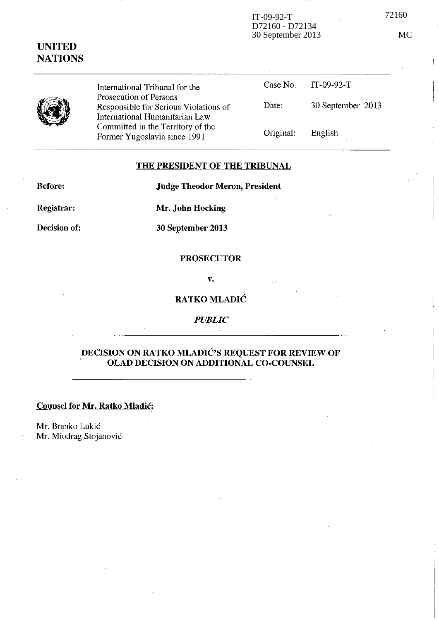### IT-09-92-T 72160 D72160 - D72134 30 September 2013 MC



**UNITED NATIONS** 

> International Tribunal for the Prosecution of Persons Responsible for Serious Violations of International Hurnanitarian Law Committed in the Territory of the Former Yugoslavia since 1991

| Case No.  | IT-09-92-T        |
|-----------|-------------------|
| Date:     | 30 September 2013 |
| Original: | English           |

## **THE PRESIDENT OF THE TRIBUNAL**

**Before:** 

**Judge Theodor Meron, President** 

**Registrar:** 

**Mr. John Hocking** 

**Decision of:** 

**30 September 2013** 

#### **PROSECUTOR**

**v.** 

# **RATKO MLADIé**

*PUBLIC* 

# **DECISION ON RATKO MLADIé's REQUEST FOR REVIEW OF OLAD DECISION ON ADDITIONAL CO-COUNSEL**

#### **Counsel for Mr. Ratko Mladié:**

Mr. Branko Lukié Mr. Miodrag Stojanovié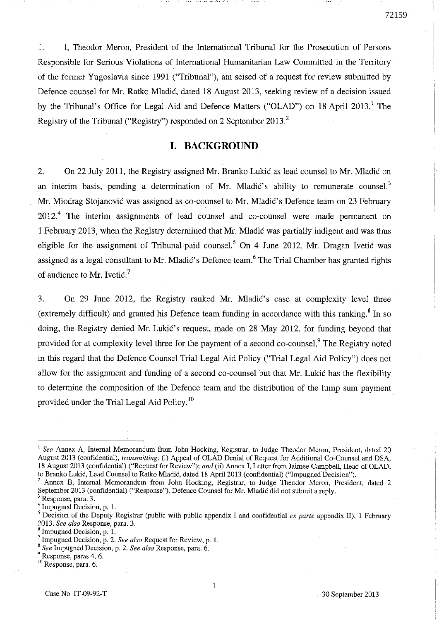1. **1,** Theodor Meron, President of the International Tribunal for the Prosecution of Persans Responsible for Serious Violations of International Humanitarian Law Comrnitted in the Territory of the former Yugoslavia since 1991 ("Tribunal"), am seised of a request for review submitted by Defence counsel for Mr. Ratko Mladié, dated 18 August 2013, seeking review of a decision issued by the Tribunal's Office for Legal Aid and Defence Matters ("OLAD") on 18 April 2013.<sup>1</sup> The Registry of the Tribunal ("Registry") responded on 2 September 2013. <sup>2</sup>

# **I. BACKGROUND**

2. On 22 July 2011, the Registry assigned Mr. Branko Lukié as lead counsel ta Mr. Mladié on an interim basis, pending a determination of Mr. Mladić's ability to remunerate counsel.<sup>3</sup> Mr. Miodrag Stojanović was assigned as co-counsel to Mr. Mladić's Defence team on 23 February  $2012.<sup>4</sup>$  The interim assignments of lead counsel and co-counsel were made permanent on 1 February 2013, when the Registry determined that Mr.. Mladié was partially indigent and was thus eligible for the assignment of Tribunal-paid counsel.<sup>5</sup> On 4 June 2012, Mr. Dragan Ivetic was assigned as a legal consultant to Mr. Mladić's Defence team.<sup>6</sup> The Trial Chamber has granted rights of audience to Mr. Ivetic.<sup>7</sup>

3. On 29 June 2012, the Registry ranked Mr. Mladié's case at complexity level three (extremely difficult) and granted his Defence team funding in accordance with this ranking.<sup>8</sup> In so doing, the Registry denied Mr. Lukié's request, made on 28 May 2012, for funding beyond that provided for at complexity level three for the payment of a second co-counsel.<sup>9</sup> The Registry noted in this regard that the Defence Counsel Trial Legal Aid Policy ("Trial Legal Aid Policy") does not allow for the assignment and funding of a second co-counsel but that Mr. Lukié has the flexibility to determine the composition of the Defence team and the distribution of the lump sum payment provided under the Trial Legal Aid Policy. 10

<sup>8</sup>*See* Impugned Decision, p. 2. *See a/sa* Response, para. 6.

<sup>&</sup>lt;sup>1</sup> See Annex A, Internal Memorandum from John Hocking, Registrar, to Judge Theodor Meron, President, dated 20 August 2013 (confidential), *transmitting:* (i) Appeal of OLAD Deniai of Request for Additional Co-Counsel and DSA, 18 August 2013 (confidential) ("Request for Review"); *and* (ii) Annex l, Letter from Jaimee Campbell, Head of OLAD, to Branko Lukié, Lead Counsel to Ratko Mladié, dated 18 April 2013 (confidential) ("Impugned Decision").

<sup>2</sup> Annex B, Internai Memorandum from John Hocking, Registrar, to Judge Theodor Meron, President, dated 2 September 2013 (confidential) ("Response"). Defence Counsel for MI. Mladié did not submit a reply.

<sup>3</sup>**Response, para. 3.** 

<sup>4</sup> Impugned Decision, p. 1.

<sup>5</sup> Decision of the Deputy Registrar (public with public appendix 1 and confidential *ex parte* appendix II), 1 February 2013. *See a/sa* Response, para. 3.

 $<sup>6</sup>$  Impugned Decision, p. 1.</sup>

<sup>7</sup> Impugned Decision, p. 2. *See a/sa* Request for Review, p. 1.

<sup>9</sup> Response, paras 4, 6.

<sup>10</sup>**Response, para. 6.**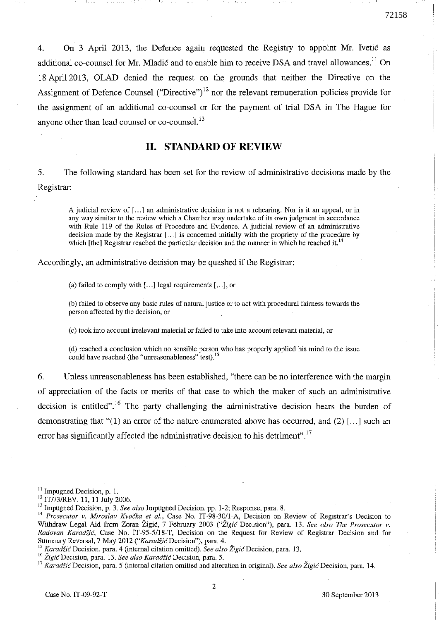4. On 3 April 2013, the Defence again requested the Registry ta appoint Mr. Ivetié as additional co-counsel for Mr. Mladić and to enable him to receive DSA and travel allowances.<sup>11</sup> On 18 Apri12013, OLAD denied the request on the grounds that neither the Directive on the Assignment of Defence Counsel ("Directive")<sup>12</sup> nor the relevant remuneration policies provide for the assignment of an additional co-counsel or for the payment of trial DSA in The Hague for anyone other than lead counsel or co-counsel. $^{13}$ 

## **II. STANDARD OF REVIEW**

5. The following standard has been set for the review of administrative decisions made by the Registrar:

**A judieiaI review of [ ... ] an administrative decision i8 not a rehearing. Nor i8 it an appeal, or in any way similar ta the review which a Chamber may undertake of its own judgment in accordance**  with Rule 119 of the Rules of Procedure and Evidence. A judicial review of an administrative decision made by the Registrar [,.,] is concerned initially with the propriety of the procedure by which [the] Registrar reached the particular decision and the manner in which he reached it.<sup>14</sup>

Accordingly, an administrative decision may be quashed if the Registrm:

(a) failed to comply with  $[...]$  legal requirements  $[...]$ , or

(b) failed to observe any basic rules of natural justice or to act with procedural fairness towards the **person affected by the decision, or** 

**(c) took inta account irrelevant material or failed to take inta account relevant material, Of** 

(d) reached a conclusion which no sensible person who has properly applied his mind to the issue could have reached (the "unreasonableness" test).<sup>15</sup>

6. Unless unreasonableness has been established, "there can be no interference with the margin of appreciation of the facts or merits of that case to which the maker of such an administrative decision is entitled".<sup>16</sup> The party challenging the administrative decision bears the burden of demonstrating that " $(1)$  an error of the nature enumerated above has occurred, and  $(2)$  [...] such an error has significantly affected the administrative decision to his detriment".<sup>17</sup>

<sup>&</sup>lt;sup>11</sup> Impugned Decision, p. 1.

<sup>&</sup>lt;sup>12</sup> IT/73/REV. 11, 11 July 2006.

<sup>13</sup> Impugned Decision, p. 3. *See also* Impugned Decision, pp. 1-2; Response, para. 8.

**<sup>14</sup>***Prosecutor v, Miroslav Kvocka et al.,* **Case No. IT-98-301l-A, Decision on Rcview of Registrar's Decision to**  Withdraw Legal Aid from Zoran Žigić, 7 February 2003 *("Žigić Decision")*, para. 13. See also The Prosecutor v. *Radovan Karadiié,* Case No. IT-95-5/18-T, Decision on the Request for Review of Registrar Decision and for Summary ReversaI, 7 May 2012 *("Karadtié* Decision"), para, 4.

<sup>&</sup>lt;sup>15</sup> Karadžić Decision, para. 4 (internal citation omitted). See also Žigić Decision, para. 13.

**<sup>16</sup>***Zigié* **Decision, para. 13.** *See also Karadiié* **Decision, para. 5.** 

**I?** *Karadf.iéDecision,* **para. 5 (internaI citation omitted and alteration in original).** *See also Zigié* **Decision, para. 14.**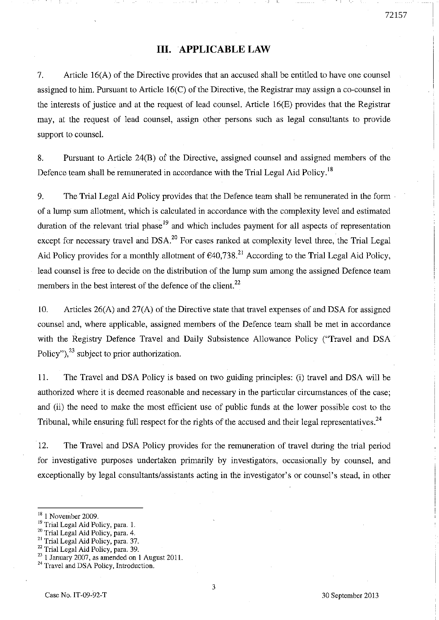# **III. APPLICABLE LAW**

, 1.

7. Article 16(A) of the Directive provides that an accused shall be entitled to have one counsel assigned to him. Pursuant to Article 16(C) of the Directive, the Registrar may assign a co-counsel in the interests of justice and at the request of lead counsel. Article  $16(E)$  provides that the Registrar may, at the request of lead counsel, assign other persons such as legal consultants to provide support to counse!.

8. Pursuant to Article 24(B) of the Directive, assigned counsel and assigned members of the Defence team shall be remunerated in accordance with the Trial Legal Aid Policy.<sup>18</sup>

9. The Trial Legal Aid Policy provides that the Defence team shall be remunerated in the form of a lump sum allotment, which is calculated in accordance with the complexity level and estimated duration of the relevant trial phase<sup>19</sup> and which includes payment for all aspects of representation except for necessary travel and DSA.<sup>20</sup> For cases ranked at complexity level three, the Trial Legal Aid Policy provides for a monthly allotment of  $640,738$ <sup>21</sup> According to the Trial Legal Aid Policy, lead counsel is free to decide on the distribution of the lump sum among the assigned Defence team members in the best interest of the defence of the client.<sup>22</sup>

10. Articles 26(A) and 27(A) of the Directive state that travel expenses of and DSA for assigned counsel and, where applicable, assigned members of the Defence team shall be met in accordance with the Registry Defence Travel and Daily Subsistence Allowance Policy ("Travel and DSA Policy"),  $^{23}$  subject to prior authorization.

Il. The Travel and DSA Policy is based on two guiding principles: (i) travel and DSA will be authorized where it is deemed reasonable and necessary in the particular circumstances of the case; and (ii) the need to make the most efficient use of public funds at the lower possible cost to the Tribunal, while ensuring full respect for the rights of the accused and their legal representatives.<sup>24</sup>

12. The Travel and DSA Policy provides for the remuneration of travel during the trial period for investigative purposes undertaken primarily by investigators, occasionally by counsel, and exceptionally by legal consultants/assistants acting in the investigator's or counsel's stead, in other

 $^{23}$  1 January 2007, as amended on 1 August 2011.

<sup>&</sup>lt;sup>18</sup> 1 November 2009.

<sup>&</sup>lt;sup>19</sup> Trial Legal Aid Policy, para. 1.

<sup>&</sup>lt;sup>20</sup> Trial Legal Aid Policy, para. 4.

<sup>21</sup> Trial Legal *Aid* Policy, para. 37.

<sup>&</sup>lt;sup>22</sup> Trial Legal Aid Policy, para. 39.

<sup>&</sup>lt;sup>24</sup> Travel and DSA Policy, Introduction.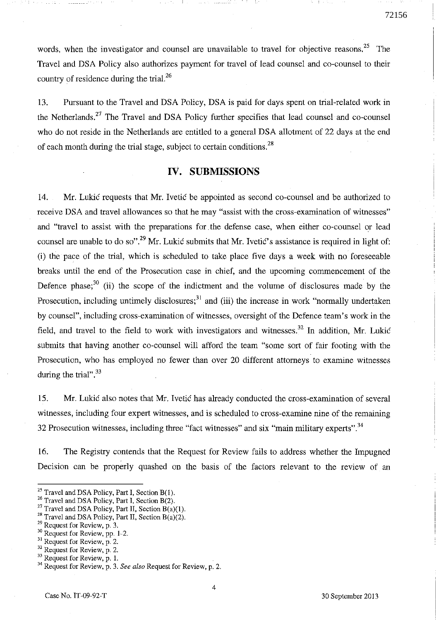words, when the investigator and counsel are unavailable to travel for objective reasons.<sup>25</sup> The Travel and DSA Policy also authorizes payment for travel of lead counsel and co-counsel to their country of residence during the trial. $^{26}$ 

13. Pursuant to the Travel and DSA Policy, DSA is paid for days spent on trial-related work in the Netherlands.<sup>27</sup> The Travel and DSA Policy further specifies that lead counsel and co-counsel who do not reside in the Netherlands are entitled to a general DSA allotment of 22 days at the end of each month during the trial stage, subject to certain conditions.<sup>28</sup>

# **IV. SUBMISSIONS**

14. Mr. Lukić requests that Mr. Ivetić be appointed as second co-counsel and be authorized to receive DSA and travel allowances so that he may "assist with the cross-examination of witnesses" and "travel to assist with the preparations for the defense case, when either co-counsel or lead counsel are unable to do so".<sup>29</sup> Mr. Lukić submits that Mr. Ivetić's assistance is required in light of: (i) the pace of the trial, which is scheduled to take place five days a week with no foreseeable breaks until the end of the Prosecution case in chief, and the upcoming commencement of the Defence phase;<sup>30</sup> (ii) the scope of the indictment and the volume of disclosures made by the Prosecution, including untimely disclosures; $31$  and (iii) the increase in work "normally undertaken by counsel", including cross-examination of witnesses, oversight of the Defence team's work in the field, and travel to the field to work with investigators and witnesses.<sup>32</sup> In addition, Mr. Lukić submits that having another co-counsel will afford the team "some sort of fair footing with the Prosecution, who has employed no fewer than over 20 different attorneys to examine witnesses during the trial".  $33$ 

15. Mf. Lukié also notes that Mr. Ivetié has already conducted the cross-examination of several witnesses, including four expert witnesses, and is scheduled to cross-examine nine of the remaining 32 Prosecution witnesses, including three "fact witnesses" and six "main military experts".  $34$ 

16. The Registry contends that the Request for Review fails to address whether the Impugned Decision can be properly quashed on the basis of the factors relevant to the review of an

- <sup>27</sup> Travel and DSA Policy, Part II, Section  $B(a)(1)$ .
- <sup>28</sup> Travel and DSA Policy, Part II, Section  $B(a)(2)$ .
- 29 **Request for Review, p. 3.**

- $32$  Request for Review, p. 2.
- $33$  Request for Review, p. 1.

 $^{25}$  Travel and DSA Policy, Part I, Section B(1).

 $^{20}$  Travel and DSA Policy, Part I, Section B(2).

 $30$  Request for Review, pp. 1-2.

 $31$  Request for Review, p. 2.

<sup>34</sup> Request for Review, p. 3. *See also* Request for Review, p. 2.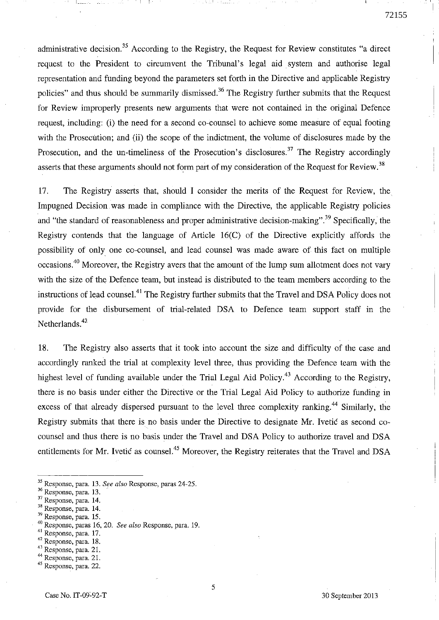administrative decision.<sup>35</sup> According to the Registry, the Request for Review constitutes "a direct request to the President to circumvent the Tribunal's legal aid system and authorise legal representation and funding beyond the parameters set forth in the Directive and applicable Registry policies" and thus should be summarily dismissed.<sup>36</sup> The Registry further submits that the Request for Review improperly presents new arguments that were not contained in the original Defence request, including: (i) the need for a second co-counsel to achieve sorne measure of equal footing with the Prosecution; and (ii) the scope of the indictment, the volume of disclosures made by the Prosecution, and the un-timeliness of the Prosecution's disclosures.<sup>37</sup> The Registry accordingly asserts that these arguments should not form part of my consideration of the Request for Review.<sup>38</sup>

17. The Registry asserts that, should 1 consider the merits of the Request for Review, the Impugned Decision. was made in compliance with the Directive, the applicable Registry policies and "the standard of reasonableness and proper administrative decision-making".<sup>39</sup> Specifically, the Registry contends that the language of Article 16(C) of the Directive explicitly affords the possibility of only one co-counsel, and lead counsel was made aware of this fact on multiple occasions.<sup>40</sup> Moreover, the Registry avers that the amount of the lump sum allotment does not vary with the size of the Defenee team, but instead is distributed to the team members according to the instructions of lead counsel.<sup>41</sup> The Registry further submits that the Travel and DSA Policy does not provide for the disbursement of trial-related DSA to Defence team support staff in the Netherlands.<sup>42</sup>

18. The Registry also asserts that it took into account the size and difficulty of the case and accordingly ranked the trial at complexity level three, thus providing the Defence team with the highest level of funding available under the Trial Legal Aid Policy.<sup>43</sup> According to the Registry, there is no basis under either the Directive or the Trial Legal Aid Policy to authorize funding in excess of that already dispersed pursuant to the level three complexity ranking.<sup>44</sup> Similarly, the Registry submits that there is no basis under the Directive to designate Mr. Ivetic as second cocounsel and thus there is no basis under the Travel and DSA Policy to authorize travel and DSA entitlements for Mr. Ivetić as counsel.<sup>45</sup> Moreover, the Registry reiterates that the Travel and DSA

- 35 Response, para. 13. *See also* Response, paras 24-25.
- <sup>36</sup>**Response, para. 13.**
- <sup>37</sup>**Response, para. 14.**
- <sup>38</sup>**Response, para. 14.**
- 39 Response, para. 15.

- 41 Response, para. 17.
- 42 **Response, para. 18.**
- <sup>43</sup>**Response, para. 21.**
- 44 Response, para. 21.
- **45 Response, para. 22.**

<sup>40</sup> Response, paras 16, 20. *See also* Response, para. 19.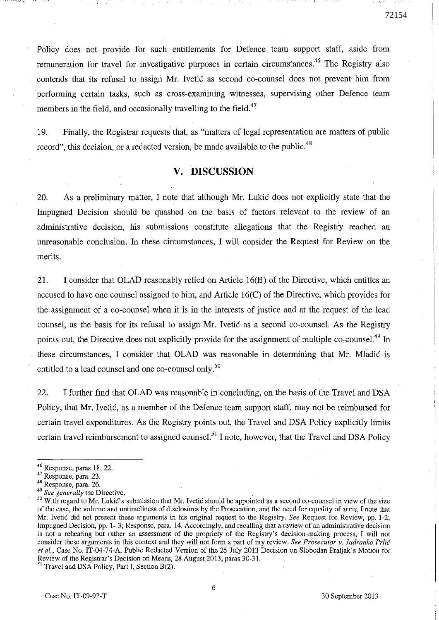Policy does not provide for such entitlements for Defence team support staff, aside from remuneration for travel for investigative purposes in certain circumstances.<sup>46</sup> The Registry also contends that its refusal to assign Mr. Ivetic as second co-counsel does not prevent him from performing certain tasks, such as cross-examining witnesses, supervising other Defence team members in the field, and occasionally travelling to the field.<sup>47</sup>

19. Finally, the Registrar requests that, as "matters of legal representation are matters of public record", this decision, or a redacted version, be made available to the public.<sup>48</sup>

# **V. DISCUSSION**

20. As a preliminary matter, 1 note that although Mr. Lukié does not explicitly state that the Impugned Decision should be quashed on the basis of factors relevant to the review of an administrative decision, his submissions constitute allegations that the Registry reached an unreasonable conclusion. In these circumstances, 1 will consider the Request for Review on the merits.

21. 1 consider that OLAD reasonably relied on Article 16(B) of the Directive, which entitles an . accused ta have one counsel assigned ta him, and Article 16(C) of the Directive, which provides for the assignment of a co-counsel when it is in the interests of justice and at the request of the lead counsel, as the basis for its refusal to assign Mr. Ivetic as a second co-counsel. As the Registry points out, the Directive does not explicitly provide for the assignment of multiple co-counsel.<sup>49</sup> In these circumstances, 1 consider that OLAD was reasonable in determining that Mr. Mladié is entitled to a lead counsel and one co-counsel only.<sup>50</sup>

22. 1 further find that OLAD was reasonable in concluding, on the basis of the Travel and DSA Policy, that Mr. Ivetié, as a member of the Defence team support staff, may not be reimbursed for certain travel expenditures. As the Registry points out, the Travel and DSA Policy explicitly limits certain travel reimbursement to assigned counsel.<sup>51</sup> I note, however, that the Travel and DSA Policy

<sup>46</sup> Response. paras 18,22.

<sup>47</sup>**Response, para. 23.** 

<sup>48</sup> Response, para. 26.

*<sup>49</sup> See generally* **the Directive.** 

<sup>&</sup>lt;sup>50</sup> With regard to Mr. Lukić's submission that Mr. Ivetić should be appointed as a second co-counsel in view of the size of the case, the volume and untimeliness of disclosures by the Prosecution, and the need for equality of arms. 1 note that Mr. Ivetic did not present these arguments in his original request to the Registry. *See* Request for Review, pp. 1-2; Impugned Decision, pp. 1- 3; Response, para. 14. According1y, andrecalling that a review of an administrative decision is not a rehearing but rather an assessment of the propriety of the Registry's decision-making process, I will not **consider these arguments in this context and they will not form a part of my review.** *See Prosecutor* **v.** *ladranko Prlié et al.,* Case No. IT-04-74-A, Public Redacted Version of the 25 Ju1y 2013 Decision on Slobodan Praljak's Motion for Review of the Registrar's Decision on Means, 28 August 2013, paras 30-31.

<sup>&</sup>lt;sup>51</sup> Travel and DSA Policy, Part I, Section B(2).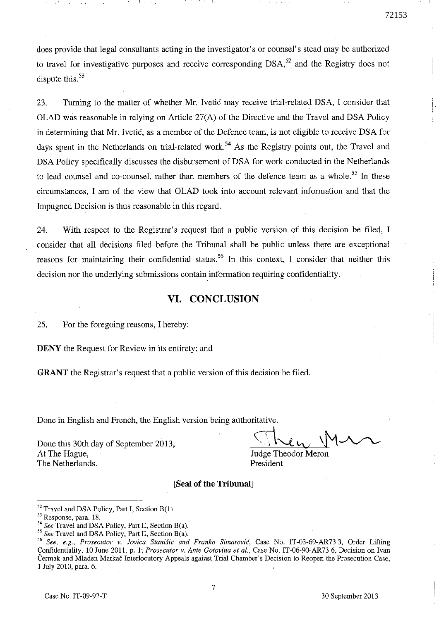does provide that legal consultants acting in the investigator's or counsel's stead may be authorized to travel for investigative purposes and receive corresponding  $DSA<sub>52</sub>$  and the Registry does not dispute this. $53$ 

23. Turning to the matter of whether Mr. Ivetié may receive trial-related DSA, l consider that OLAD was reasonable in relying on Article 27(A) of the Directive and the Travel and DSA Policy in determining that Mr. Ivetié, as a member of the Defence team, is not eligible to receive DSA for days spent in the Netherlands on trial-related work.<sup>54</sup> As the Registry points out, the Travel and DSA Policy specifically discusses the disbursement of DSA for work conducted in the Netherlands to lead counsel and co-counsel, rather than members of the defence team as a whole.<sup>55</sup> In these circumstances, l am of the view that OLAD took into account relevant information and that the Impugned Decision is thus reasonable in this regard.

24. With respect to the Registrar's request that a public version of this decision be filed, I consider that al! decisions filed before the Tribunal shall be public unless there are exceptional reasons for maintaining their confidential status.<sup>56</sup> In this context, I consider that neither this decision nor the underlying submissions contain information requiring confidentiality.

# **VI. CONCLUSION**

25. For the foregoing reasons, l hereby:

DENY the Request for Review in its entirety; and

GRANT the Registrar's request that a public version of this decision be filed.

Done in English and French, the English version being authoritative.

Done this 30th day of September 2013, At The Hague, The Netherlands.

marve.<br>Then M.  $\rightarrow$   $\bf v$  $\sim$ u.  $4\lambda$ 

Judge Theodor Meron President

#### [Seal **of the Tribunal]**

 $52$  Travel and DSA Policy, Part I, Section B(1).

<sup>53</sup> Response, para. 18.

*<sup>54</sup> See* Travel and DSA Poliey, Part II, Section B(a).

*<sup>55</sup> See* Travel and DSA Policy, Part II, Section B(a).

*<sup>56</sup> See, e.g., Prosecutor* **v.** *Jovica Stan;fié and Franko Simatovié,* **Case No. IT-03-69-AR73.3, Order Lifting**  Confidentiality, 10 June 2011, p. 1; *Prosecutor v. Ante Gotovina et al.*, Case No. IT-06-90-AR73.6, Decision on Ivan écrmak and Mladen Markac Interlocutory Appeals against Trial Chambcr' s Decision to Reopen the Prosecution Case, 1 July 2010, para. 6.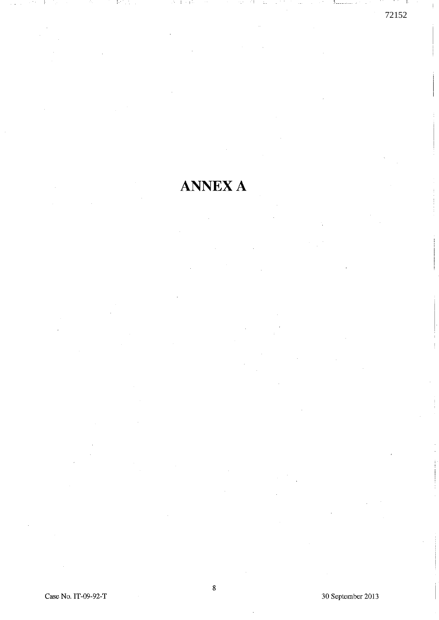# **ANNEXA**

Case No. IT-09-92-T 30 September 2013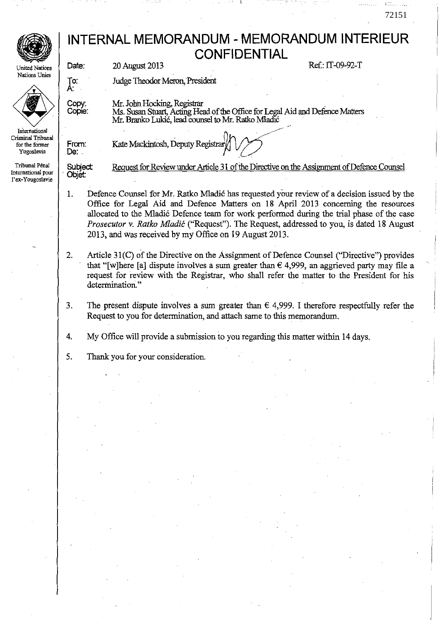# **INTERNAL MEMORANDUM - MEMORANDUM INTERIEUR CONFIDENTIAL**

72151

**United Nations Nations Unies** 



Criminal Tribunal **for the former Yugoslavia** 

Tribunal Pénal **International pour**  l ' **ex-Yougoslavie**  20 August 2013 Ref.: IT-09-92-T

Judge Theodor Meron, President

Kate Mackintosh, Deputy Registrar

Mr. John Hocking, Registrar<br>Ms. Susan Stuart, Acting Head of the Office for Legal Aid and Defence Matters Mr. Branko Lukić, lead counsel to Mr. Ratko Mladić

. ..----

From: De:

**Subject** . Objet:

Date:

To: A:

Copy: Copie:

Request for Review under Article 31 of the Directive on the Assignment of Defence Counsel

.C- •

- 1. Defence Counsel for Mr. Ratko Mladić has requested your review of a decision issued by the Office for Legal Aid and Defence Matters on 18 April 2013 concerning the resources allocated to the Mladié Defence team for work performed during the trial phase of the case *Prosecutor* v. *Ratko M/adié* ("Request"). The Request, addressed to you, is dated 18 August 2013, and was received by my Office on 19 August 2013.
- 2. Article 31(C) of the Directive on the Assignment of Defence Counsel ("Directive") provides that "[w]here [a] dispute involves a sum greater than  $\epsilon$  4,999, an aggrieved party may file a request for review with the Registrar, who shall refer the matter to the President for bis determination."
- 3. The present dispute involves a sum greater than  $\epsilon$  4,999. I therefore respectfully refer the Request to you for determination, and attach same to this memorandum.

4. My Office will provide a submission to you regarding this matter within 14 days.

5. Thank you for your consideration.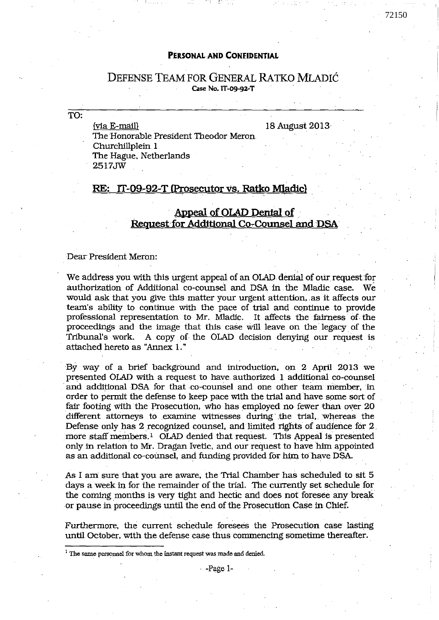# **PERSONAL AND CONFIDENTIAL**

### DEFENSE TEAM FOR GENERAL RATKO MLADIĆ Case No. **11-09'92-**T

TO:

(via E-mail) 18 August 2013 The Honorable President Theodor Meron Churchillp1ein 1 The Hague. Netherlands 2517JW

, 1 - --, ~ - -

# **RE: lT-09 .. 92-T lProsecutor** vs. **Ratko Mladicl**

# Appeal of OLAD Denial of **Request for Additional Co-Counsel and DSA**

Dear President Meron:

We address you with this urgent appeal of an OLAD denial of oùr. request for authorization of Additional co-counse1 and DSA in the Mladic case. wé would ask that you give this matter your urgent attention, as it affects our team's ability to continue with the pace of trial and continue to provide professional representation to Mr. Mladic. It affects the fairness of the proceedings and the image that this case will leave on the legacy of the Tribunal's work. A copy of the OLAD decision denying our request is attached hereto as "Annex 1.'

By way of a brief background and introduction, on 2 April 2013 we presented OLAD with a request to have authorized 1 additional co-counsel and additional DSA for that co-counsel and one other team member, in order to permit the defense to keep pace with the trial and have sorne sort of fair footing with the Prosecution, who has employed no fewer than over  $20$ different attorneys to examine witnesses during the trial, whereas the Defense only has 2 recognized counsel, and limited rights of audience for 2. more staff members.<sup>1</sup> OLAD denied that request. This Appeal is presented only in relation to Mr. Dragan Ivetic, and our request to have him appointed as an additional co-counsel, and funding provided for him to have DSA.

As l am sure that you are aware, the Trial Chamber has scheduled to sit 5 days a week in for the remainder of the trial. The currentiy set schedule for the coming months is very tight and hectic and does not foresee any break or pause in proceedings until the end of the Prosecution Case in Chief.

Furthermore, the current schedule foresees the Prosecution case lasting until October, with the defense case thus commencing sometime thereafter.

<sup>&</sup>lt;sup>1</sup> The same personnel for whom the instant request was made and denied.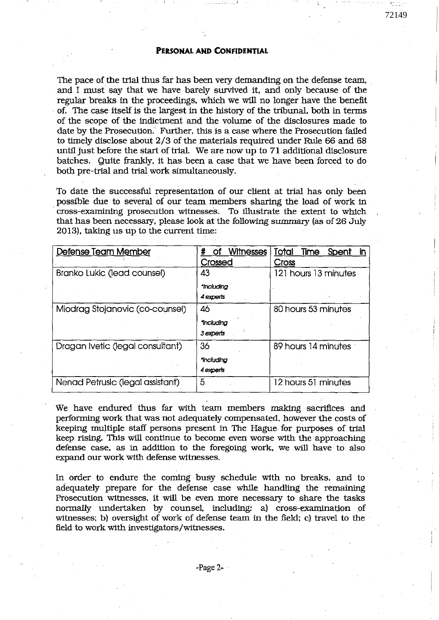#### **PERSONAL AND CoNflDENTIAL**

, 1

72149

The pace of the trial thus far has been very demanding on the defense team, and l must say that we have barely survived it, and only because of the regular breaks in the proceedings, which we will no longer have the benefit . of. The case itself is the largest in the history of the tribunal, both in terms of the scope of the indictment and the volume of the disclosures made 10 date by the Prosecution. Further, this is a case where the Prosecution failed to timely disclose about 2/3 of the materials required under Rule 66 and 68 until just before the start of trial. We are now up to 71 additional disclosure batches. Quite frankly, it has been a case that we have been forced to do both pre-trial and trial work simultaneously.

To date the successful representation of our client at trial has only been possible due to several of our team members sharing the load of work in . cross-examining prosecution witnesses. To illustrate the extent to which that has been necessary, please look at the following summary (as of 26 July 2013), taking us up to the current time:

| Defense Tearn Member             | <b>Witnesses</b><br>#<br>Οf | Total<br>Time<br>Spent<br>in. |
|----------------------------------|-----------------------------|-------------------------------|
|                                  | Crossed                     | <b>Cross</b>                  |
| Branko Lukic (lead counsel)      | 43                          | 121 hours 13 minutes          |
|                                  | *Including                  |                               |
|                                  | 4 experts                   |                               |
| Miodrag Stojanovic (co-counsel)  | 46                          | 80 hours 53 minutes           |
|                                  | incluaina                   |                               |
|                                  | 3 experts                   |                               |
| Dragan Ivetic (legal consultant) | 36                          | 89 hours 14 minutes           |
|                                  | *Including                  |                               |
|                                  | 4 experts                   |                               |
| Nenad Petrusic (legal assistant) | 5                           | 12 hours 51 minutes           |

We have endured thus far with team members making sacrifices and performing work that was not adequately compensated, however the costs of keeping multiple staff persons present in The Hague for purposes of trial keep rising. This will continue to become even worse with the approaching defense case, as in addition to the foregoing work, we will have to also expand our work with defense witnesses.

In order to endure the coming busy schedule with no breaks, and to adequately prepare. for the defense case while handling the remaining Prosecution witnesses, it will be even more necessary to share the tasks normally undertaken bY counsel. including: al cross-examination of witnesses; b) oversight of work of defense team in the field; c) travel to the field to work with investigators/witnesses.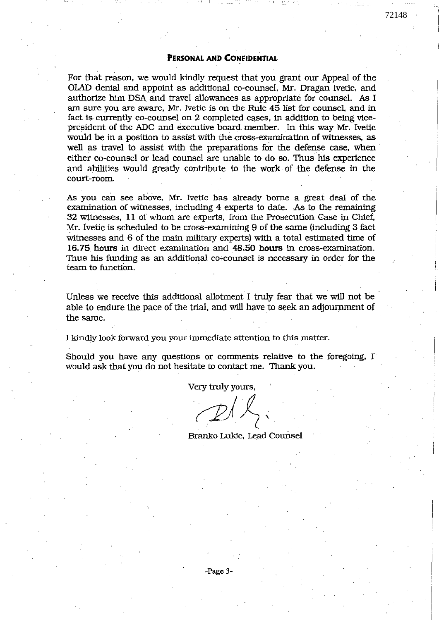#### **PERSONAL AND CONFIDENTIAL**

1 r\_-\_

For that reason, we would kindly request that you. grant our Appeal of the OLAD denial and appoint as additional co-counsel. Mr. Dragan Ivetic, and authorize him DSA and travel allowances as appropriate for counsel. As I am sure you are aware, Mr. Ivetic is on the Rule 45 list for counsel, and in fact is currently co-counsel on 2 completed cases, in addition to being vicepresident of the ADC and executive board member. In this way Mr. Ivetic would be in a position to assist with the cross-examination of witnesses, as well as travel to assist with the preparations for the defense case, when either co-counsel or lead counsel are unable to do so. Thus his experience and abilities would greatly contribute to the work of the defense in the court-room.

As you can see above, Mr. Ivetic has already borne a great deal of the examination of witnesses, including 4 experts to date. As to the remaining .32 witnesses, **Il** of whom are experts, from the Prosecution Case in Chief, Mr. Ivetic is scheduled to be cross-examining 9 of the same (including 3 fact witnesses and 6 of the main military experts) with a total estimated time of **16.75** hours in direct examination and **48.50** hours in cross-examination. Thus his funding as an additional co-counsel is necessary in order for the team to function.

Unless we receive this additional allotment 1 truly fear that we will not be . able to endure the pace of the trial, and will have to seek an adjournment of the same.

1 kinâly look forward you your immediate attention to this matter.

Should you have any questions or comments relative to the foregoing, I would ask that you do not hesitate to contact me. Thank you.

Very truly yours,

 $\mathbb{Z}/\mathbb{Z}$ .

Branko Lukic, Lead Counsel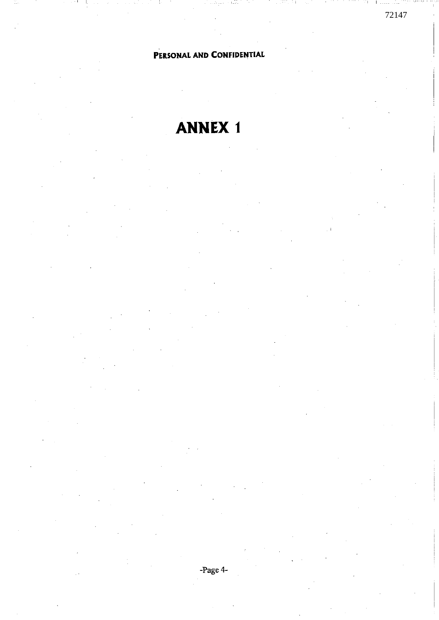# **PERSONAL AND CONFIDENTIAL**

72147

, 1.

# **ANNEX 1**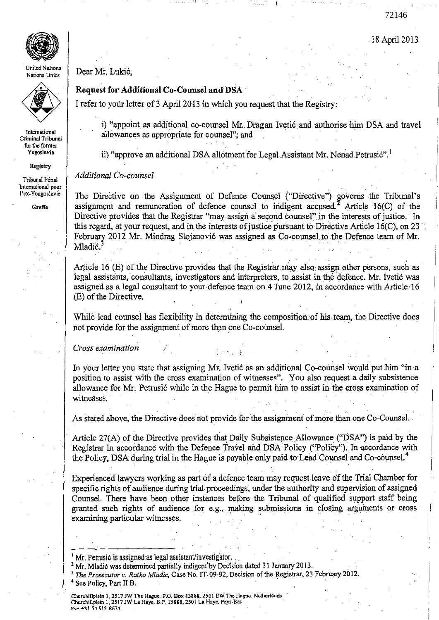72146



**United Nations Nations Unies** 



**International Criminal Tribunal for the former Yugoslovia** 

#### Registry

**Tribunal Pénal International pour I"ex-Yougoslavie** 

**Greffe** 

# Dear Mr.Lukié,

# **Request for Additional Co-Counsel and DSA**

1 refer to yOlir letter of 3 April 2013 in which you request that the Registry:

i) "appoint as additional co-counsel Mr. Dragan Ivetić and authorise him DSA and travel allowances as appropriate for counsel"; and

ii) "approve an additional DSA allotment for Legal Assistant Mr. Nenad Petrusić".<sup>1</sup>

#### *Additional Co-coumel*

The Directive on the Assignment of Defence Counsel ("Directive") governs the Tribunal's assignment and remuneration of defence counsel to indigent accused.<sup>2</sup> Article 16(C) of the Directive provides that the Registrar "may assign a second counsel" in the interests of justice. In this regard, at your request, and in the interests of justice pursuant to Directive Article 16(C), on 23 February 2012 Mr. Miodrag Stojanović was assigned as Co-counsel to the Defence team of Mr. Mladić.<sup>3</sup>

Article 16 (E) of the Directive provides that the Registrar may also assign other persons, such as legal assistants, consultants, investigators and interpreters, to assist in the defence. Mr. Ivetić was assigned as a legal consultant to yourdefence team on 4 June 2012, in accordance with Article 16 (E) of the Directive.

While lead counsel has flexibility in determining the composition of his team, the Directive does not provide for the assignment of more than one Co-counsel.

*Cross examination* 

In your letter you state that assigning Mr. Ivetic as an additional Co-counsel would put him "in a position to assist with the cross examination of witnesses". You also request a daily subsistence allowance for Mr. Petrusié wbile in the Hague to permit him to assist in the .cross examination of witnesses.

 $\sim 10^{-10}$  Me

As stated above, the Directive does not provide for the assignment of more than one Co-Counsel.

Article 27(A) of the Directive provides that Daily Subsistence Allowance ("DSA") is paid by the Registrar in accordance with the Defence Travel and DSA Policy ("Policy"). In accordance with the Policy, DSA during trial in the Hague is payable only paid to Lead Counsel and Co-counsel.<sup>4</sup>

Experienced lawyers working as part of a defence team may request leave of the Trial Chamber for specific rights of audience during trial proceedings, under the authority and supervision of assigned Counse!. There have been other instances before the Tribunal of qualified support staff being granted such rights of audience for e.g., making submissions in closing arguments or cross examining particular witnesses.

Churchillplein 1, 2517 JW The Hague. P.O. Box.13888, 2501 EW The Hague. Netherlands<br>Churchillplein 1, 2517 JW La Haye. B.P. 13888, 2501 La Haye. Pays-Bas Pav +31 70 517 R637

Mr. Petrusić is assigned as legal assistant/investigator.

 $<sup>2</sup>$  Mr. Mladić was determined partially indigent by Decision dated 31 January 2013.</sup>

<sup>3</sup>*The Prosecutor v. Ratko Mladic,* Case No. IT -09-92, Decision of the Registrar, 23 February 2012. Mr. Petrusić is assigned as legal assistant/investigator.<br><sup>2</sup> Mr. Mladić was determined partially indigent by Decision dated 31 January 2013.<br><sup>3</sup> The Prosecutor v. Ratko Mladic, Case No. IT-09-92, Decision of the Registra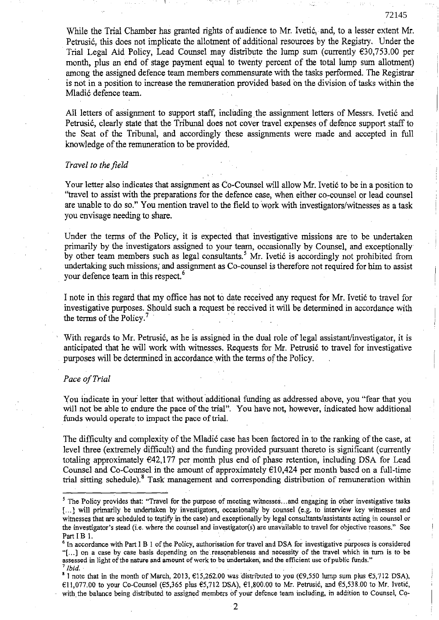While the Trial Chamber has granted rights of audience to Mr. Ivetié, and, to a lesser extent Mr. Petrusié, this does not implieate the allotment of additional resourees by the Registry. Under the Trial Legal Aid Policy, Lead Counsel may distribute the lump sum (currently  $630,753.00$  per month, plus an end of stage payment equal to twenty percent of the total lump sum allotment) among the assigned defence team members commensurate with the tasks performed. The Registrar is not in a position to increase the remuneration provided based on the division of tasks within the Mladié defence team.

72145

All letters of assignment to support staff, including the assignment letters of Messrs. Ivetić and Petrusié, clearly state that the Tribunal does not coyer travel expenses of defence support staff to the Seat of the Tribunal, and aceordingly these assignments were made and accepted in full knowledge of the remuneration to be provided.

#### *Travel ta the field*

Your letter also indicates that assignment as Co-Counsel will allow Mr. Ivetié to be in a position to "travel to assist with the preparations for the defenee case, when either co-counsel or lead counsel are unable to do so." You mention travel to the field to work with investigators/witnesses as a task you envisage needing to share.

Under the terms of the Policy, it is expected that investigative missions are to be undertaken primarily by the investigators assigned to your team, occasionally by Counsel, and exceptionally by other team members such as legal consultants.<sup>5</sup> Mr. Ivetić is accordingly not prohibited from undertaking such missions; and assignment as Co-counsel is therefore not required for him to assist your defence team in this respect.<sup><sup>6</sup></sup>

1 note in this regard that my office has not t6 date received any request for Mr. Ivetié to travel for investigative purposes. Should such a request be received it will be determined in accordance with the terms of the Policy.<sup>7</sup>

With regards to Mr. Petrusić, as he is assigned in the dual role of legal assistant/investigator, it is anticipated that he will work with witnesses. Requests for Mr. Petrusié to travel for investigative purposes will be determined in.accordance.with the terms of the Policy.

#### *Pace afTrial*

You indicate in your letter that without additional funding as addressed above, you "fear that you will not be able to endure the pace of the trial". You have not, however, indicated how additional funds would operate to impact the pace of trial.

The difficulty and complexity of the Mladié case has been fuctored in to the ranking of the case, at level three (extremely difficult) and the funding provided pursuant thereto is significant (currently totaling approximately €42,177 per month plus end of phase retention, including DSA for Lead Counsel and Co-Counsel in the amount of approximately  $E10,424$  per month based on a full-time trial sitting schedule).<sup>8</sup> Task management and corresponding distribution of remuneration within

<sup>&</sup>lt;sup>5</sup> The Policy provides that: "Travel for the purpose of meeting witnesses... and engaging in other investigative tasks [...] will primarily be undertaken by investigators, occasionally by counsel (e.g. to interview key witnesses and witnesses that are scheduled to testify in the case) and exceptionally by legal consultants/assistants acting in counsel or the investigator's stead (i.e. where the counsel and investigator(s) are unavailable to travel for objective reasons." See Part I B 1.

 $6$  In accordance with Part I B 1 of the Policy, authorisation for travel and DSA for investigative purposes is considered ''[. .. ] on a case by case basis depending on the.reasqnableness and necessity of the travel which in turn is to be assessed in light of the nature and amount of work to be undertaken, and the efficient use of public funds." <sup>7</sup>*Ibid.* 

<sup>&#</sup>x27;1 note that in the month of March, 2013, €15,262.00 was 'distributed to you (€9,550 lump sum plus €5,712 DSA), €ll,077.00 ta your Co-Counsel (€5,365 plus €5,712 DSA), €1,800.00 to Mr, Petrusié, and €5,538.00 to MT. Ivetié, with the balance being distributed to assigned members of your defence team including, in addition to Counsel, Co-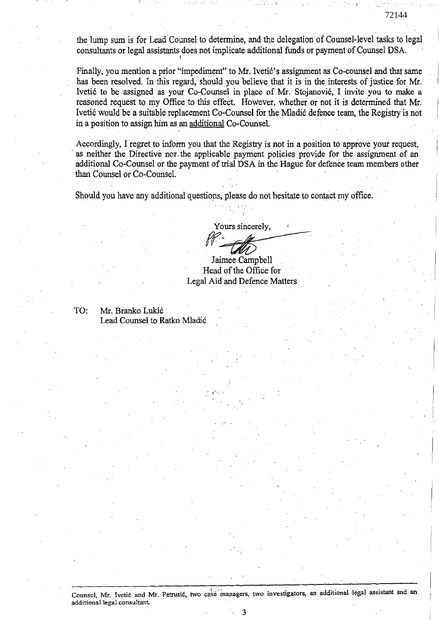the lump sum is for Lead Counsel to determine, and the delegation of Counsel-level tasks to legal consultants or legal assistants does not implicate additional funds or paymentof Counsel DSA.

Finally, you mention a prior "impediment" to Mr. Ivetić's assignment as Co-counsel and that same has been resolved. In this regard, should you believe that it is in the interests of justice for Mr. Ivetić to be assigned as your Co-Counsel in place of Mr. Stojanović, I invite you to make a reasoned request to my Office to this effect. However, whether or not it is determined that Mr. Ivetié would be a suitable replacement Co-Counsel for the Mladié defence team; the Registry is not in a position to assign him as an additional Co-Counsel.

Accordingly, I regret to inform you that the Registry is not in a position to approve your request, as neither the Directive nor the applicable payment policies provide for the assignment of an additional Co-Counsel or the payment of trial DSA in the Hague for defence team members other than Counsel or Co-Counsel.

Should you have any additional questions, please do not hesitate to contact my office.

1

Yours sincerely, *ff-* -------

Jaimee Campbell Head of the Office for Legal Aid and Defence Matlers

TO: Mr. Branko Lukié . Lead Counsel to Ratko Mladié

Counsel, Mr. Ivetić and Mr. Petrusić, two case managers, two investigators, an additional legal assistant and an addition al **legal consultant .**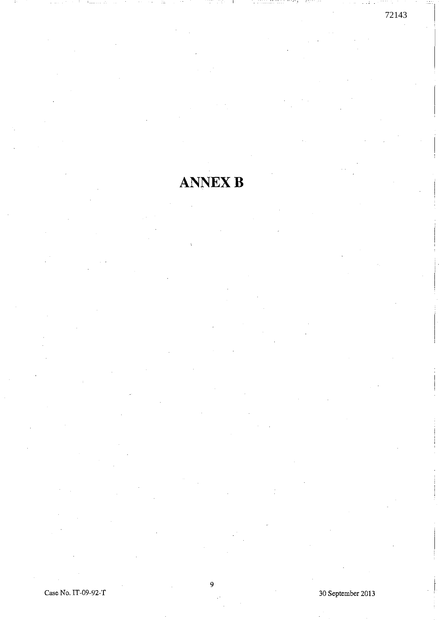# **ANNEX B**

Case No. IT-09-92-T 30 September 2013

1 . <u>.</u> .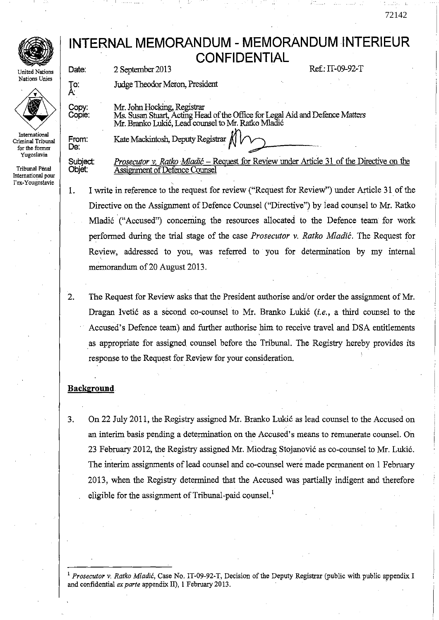# **INTERNAL MEMORANDUM -** MEMORANDUM INTERIEUR **CONFIDENTIAL**

72142

• **United Nations Nations Unies** 



**International Criminal Tribunal for the former Yugoslavia** 

Tribunal Pénal **International pour l'ex-Yougoslavie** 

Date: 2 September 2013 Ref: IT-09-92-T

, 1

Judge Theodor Meron, President

Kate Mackintosh, Deputy Registrar  $\frac{1}{N}$ 

Copy: Copie:

To:<br>A:

Mr. John Hocking, Registrar<br>Ms. Susan Stuart, Acting Head of the Office for Legal Aid and Defence Matters Mr. Branko Lukić, Lead counsel to Mr. Ratko Mladić

From:<br>De: Subject: Objet:

*Prosecutor v. Ratko Mladić* – Request for Review under Article 31 of the Directive on the Assignment of Defence Counsel

1. 1 write in reference to the request for review ("Request for Review") under Article 31. of the Directive on the Assignment of Defenee Counsel ("Directive") by lead counsel to Mr. Ratko Mladić ("Accused") concerning the resources allocated to the Defence team for work performed during the trial stage of the case *Prosecutor* v. *Ratko Mladié.* The Request for Review, addressed to you, was referred to you for deterrnination by my internal memorandum of 20 August 2013.

2. The Request for Review asks that the President authorise and/or order the assignment of Mr. Dragan Ivetić as a second co-counsel to Mr. Branko Lukić *(i.e., a third counsel to the* Accused's Defence team) and further authorise him to receive travel and DSA entitlements as appropriate for assigned counsel before the Tribunal. The Registry hereby provides its response to the Request for Review for your consideration.

## **Background**

3. On 22 July 2011, the Registry assigned Mr. Branko Lukić as lead counsel to the Accused on an interim basis pending a determination on the Accused's means to remunerate counsel. On 23 February 2012, the Registry assigned Mr. Miodrag Stojanovié as co-counsel to Mr. Lukié. The interim assignments of lead counsel and co-counsel were made permanent on 1 February 2013, when the Registry determined that the Accused was partially indigent and therefore eligible for the assignment of Tribunal-paid counsel.<sup> $1$ </sup>

<sup>1</sup>*Prosecutar* v. *Ratko Mladié,* Case No. IT-09-92-T, Decision of the Deputy Registrar (public with public appendix l and confidential *ex parte* appendix II), 1 February 2013.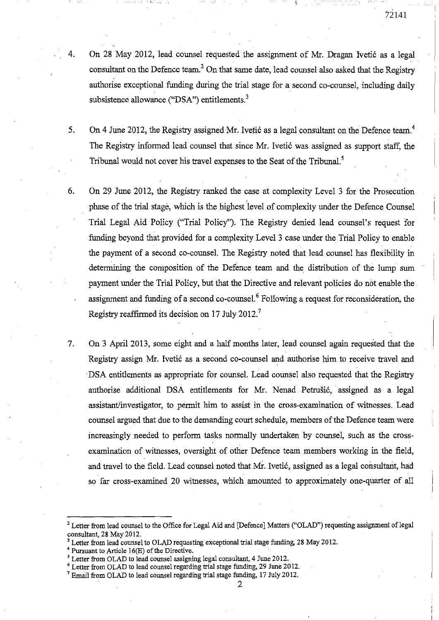$-11$ 

- 4. On 28 May 2012, lead counsel requested the assignment of Mr. Dragan Ivetié as a legal consultant on the Defence team.<sup>2</sup> On that same date, lead counsel also asked that the Registry authorise exeeptional funding during the trial stage for a second co-counsel, including daily subsistence allowance ("DSA") entitlements.<sup>3</sup>
- 5. On 4 June 2012, the Registry assigned Mr. Ivetic as a legal consultant on the Defence team.<sup>4</sup> The Registry informed lead counsel that since Mr. Ivetié was assigned as support staff, the Tribunal would not cover his travel expenses to the Seat of the Tribunal.<sup>5</sup>
- 6. On 29 June 2012, the Registry ranked the case at complexity Level 3 for the Prosecution phase of the trial stagè, which is the highest 'level of complexity under the Defence Counsel Trial Legal Aïd Policy ("Trial Policy"). The Registry denied lead counsel's request for funding beyond that provided for a complexity Level 3 case under the Trial Policy to enable the payment of a second co-counsel. The Registry noted that lead counsel has flexibility in detennining the composition of the Defenee team and the distribution of the lump sum payment under the Trial Policy, but that the Directive and relevant policies do not enable the assignment and funding of a second co-counsel.<sup>6</sup> Following a request for reconsideration, the Registry reaffirmed its decision on 17 July 2012.<sup>7</sup>
- 7. On 3 April 2013, some eight and a half months later, lead eounsel again requested that the Registry assign Mr. Ivetié as a second co-eounsel and authorise him to receive travel and 'DSA entitlements as appropriate for counsel. Lead counsel also requested that the Registry authorise additional DSA entitlements for Mr. Nenad Petrušić, assigned as a legal assistant/investigator, to permit him to assist in the eross-examination of witnesses. Lead eounsel argued that due to the demanding court sehedule, members of the Defence team were increasingly needed to perform tasks normally undertaken by counsel, such as the crossexarnination of witnesses, oversight of other Defence team members working in the field, and travel to the field. Lead counsel noted that Mr. Ivetić, assigned as a legal consultant, had so far cross-examined 20 witnesses, which amounted to approximately one-quarter of all

<sup>&</sup>lt;sup>2</sup> Letter from lead counsel to the Office for Legal Aid and [Defence] Matters ("OLAD") requesting assignment of legal consultant, 28 May 2012.

<sup>&</sup>lt;sup>3</sup> Letter from lead counsel to OLAD requesting exceptional trial stage funding, 28 May 2012.

 $4$  Pursuant to Article 16(E) of the Directive.

<sup>&</sup>lt;sup>5</sup> Letter from OLAD to lead counsel assigning legal consultant, 4 June 2012.

 $6$  Letter from OLAD to lead counsel regarding trial stage funding, 29 June 2012.

<sup>&</sup>lt;sup>7</sup> Email from OLAD to lead counsel regarding trial stage funding, 17 July 2012.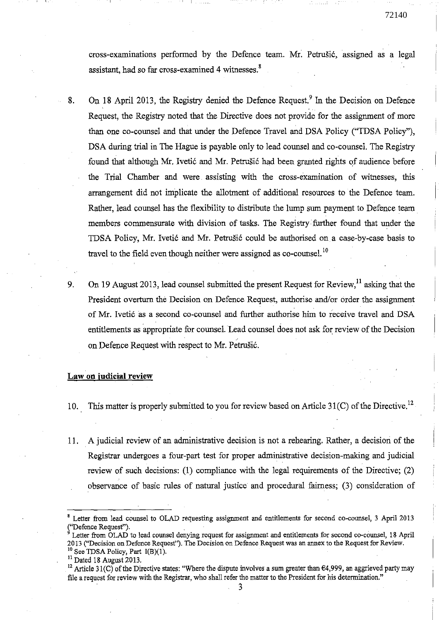eross-examinations perforrned by the Defenee team. Mr: Petrusié, assigned as a legal assistant, had so far cross-examined 4 witnesses.<sup>8</sup>

, 1

- 8. On 18 April 2013, the Registry denied the Defence Request.<sup>9</sup> In the Decision on Defence Request, the Registry noted that the Directive does not provide for the assignment of more than one co-eounsel and that under the Defenee Travel and DSA Poliey ("TDSA Potiey"), DSA during trial in The Hague is payable only to lead counsel and co-counsel. The Registry found that although Mr. Ivetić and Mr. Petrušić had been granted rights of audience before the Trial Chamber and were. assisting with the cross-examination of witnesses, this arrangement did not implieate the allotment of additional resourees to the Defenee team. Rather, lead counsel has the flexibility to distribute the lump sum payment to Defence team. members eommensurate with division of tasks. The Registry· further found that under the TDSA Policy, Mr. Ivetiéand Mr. Petrusié could be authorised on a case-by-case basis to travel to the field even though neither were assigned as  $co$ -counsel.<sup>10</sup>
- 9. On 19 August 2013, lead counsel submitted the present Request for Review,  $\frac{11}{11}$  asking that the President overturn the Decision on Defence Request, authorise and/or order the assignment of Mr. Ivetić as a second co-counsel and further authorise him to receive travel and DSA entitlements as appropriate for counsel. Lead counsel does not ask for review of the Decision on Defence Request with respect to Mr. Petrušić.

#### **Law on judicial review**

- 10. This matter is properly submitted to you for review based on Article  $31(C)$  of the Directive.<sup>12</sup>
- Il. . A judicial review of an administrative decision is not a rehearing. Rather, a decision of the Registrar undergoes a four-part test for proper administrative decision-making and judicial review of such decisions: (1) compliance with the legal requirements of the Directive; (2) observance of basic rules of natural justice and procedural faimess; (3) consideration of

<sup>11</sup> Dated 18 August 2013.

<sup>8</sup> Letter from lead counsel to OLAD requesting assignment and entitlements for second co-counsel, 3 April 2013 ("Defence Request").

Letter from OLAD to lead counsel denying request for assignment and entitlements for second co-counsel, 18 April **2013 ("Decision on Defence Request"). The Decision on Defence Request was an annex to the Request for Review.**  See TDSA Policy, Part I(B)(1).

<sup>&</sup>lt;sup>12</sup> Article 31(C) of the Directive states: "Where the dispute involves a sum greater than  $64,999$ , an aggrieved party may file a request for review with the Registrar, who shall refer the matter to the President for his determination."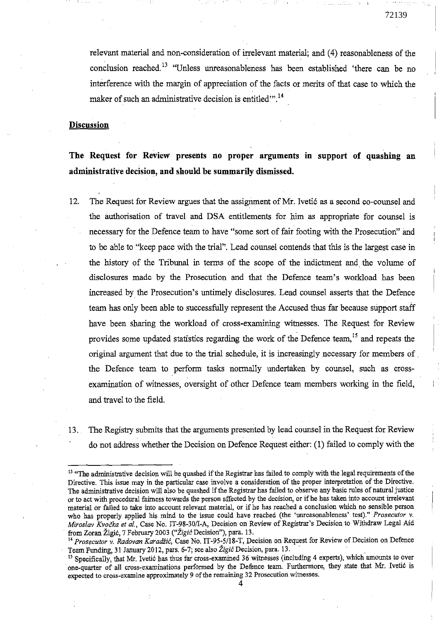$\mathbf{r} = \mathbf{V}$ 

relevant material and non-consideration of irrelevant material; and (4) reasonableness of the conclusion reached. 13 "Unless unreasonableness has been established 'there can be no interference with the margin of appreciation of the facts or merits of that case to which the maker of such an administrative decision is entitled."<sup>14</sup>

#### **Discussion**

**The Request for Review presents no proper arguments in support of quashing an administrative decision, and should be summarily dismissed.** 

- 12. The Request for Review argues that the assignment of Mr. Ivetié as a second co-counsel and the authorisation of travel and DSA entitlements for him as appropriate for counsel is necessary for the Defence team to have "sorne sort of fair footing with the Prosecution" and to be able to "keep pace with the trial". Lead counsel contends that this is the largest case in the history of the Tribunal in terms of the scope of the indictment and the volume of disclosures made by the Prosecution and that the Defence team's workload has been increased by the Prosecution's untimely disclosures. Lead counsel asserts that the Defence team has only been able to successfully represent the Accused thus far because support staff have been sharing the workload of cross-exarnining witnesses. The Request for Review provides some updated statistics regarding the work of the Defence team, <sup>15</sup> and repeats the original argument that due to the trial schedule, it is increasingly necessary for members of. the Defence team to perform tasks normally undertaken by counsel, such as crossexamination of witnesses, oversight of other Defence team members working in the field, and travel to the field.
- 13. The Registry submits that the arguments presented by lead counsel in the Request for Review do not address whether the Decision on Defence Request either: (1) failed to comply with the

<sup>&</sup>lt;sup>13</sup> "The administrative decision will be quashed if the Registrar has failed to comply with the legal requirements of the Directive. This issue may in the particular case involve a consideration of the proper interpretation of the Directive. The administrative decision will also be quashed if the Registrar has failed to observe any basic rules of natural justice or to act with procedural faimess towards the person atfected by the decision, or if he has taken into account irrelevant material or failed to take into account relevant material, or if he has reached a conclusion which no sensible person who has properly applied his mind to the issue could have reached (the 'unreasonableness' test)." *Prosecufor* v. *Miroslav Kvočka et al., Case No. IT-98-30/I-A, Decision on Review of Registrar's Decision to Withdraw Legal Aid* . from Zoran Zigié, 7 February 2003 *("Zigié* Decision"), para. 13.

<sup>&</sup>lt;sup>14</sup> Prosecutor v. *Radovan Karadžić*, Case No. IT-95-5/18-T, Decision on Request for Review of Decision on Defence Team Funding, 31 January 2012, pars. 6-7; see also *Zigié* Decision, para. 13.

<sup>&</sup>lt;sup>15</sup> Specifically, that Mr. Ivetić has thus far cross-examined 36 witnesses (including 4 experts), which amounts to over one-quarter of all cross-examinations performed by the Defence team. Furthermore, they state that Mr. Ivetić is **expected ta cross-examine approximately 9** of the **remaining 32 Prosecution witnesses.**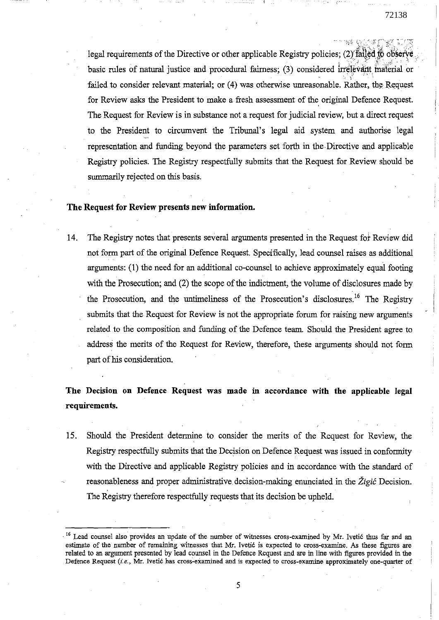legal requirements of the Directive or other applicable Registry policies; (2) failed to observe basic rules of natural justice and procedural fairness; (3) considered irrelevant material or failed to consider relevant material; or (4) was otherwise unreasonable. Rather, the Request for Review asks the President to make a fresh assessment of the original Defence Request. The Request for Review is in substance not a request for judicial review, but a direct request to the President to circumvent the Tribunal's legal aid system and authorise legal representation and funding beyond the pararneters set forth in the Directive and applicable Registry policies. The Registry respectfully submits that the Request for Review should be summarily rejected on this basis.

# **The Request for Review presents new information.**

14. The Registry notes that presents several arguments presented in the Request fot Review did not forrn part of the original Defence Request. Specifically, lead counsel raises *as* additional arguments: (1) the need for an additional co-counsel to achieve approximately equal footing with the Prosecution; and (2) the scope of the indictment, the volume of disclosures made by the Prosecution, and the untimeliness of the Prosecution's disclosures.<sup>16</sup> The Registry submits that the Request for Review is not the appropriate forum for raising new arguments related to the composition and funding of the Defence tearn. Should the President agree to address the merits of the Request for Review, therefore, these arguments should not forrn part of his consideration.

# **The Decision on Defence Request was made in accordance with the applicable legal requirements.**

15. Should the President determine to consider the merits of the Request for Review, the Registry respectfully subrnits that the Decision on Defence Request was issued in conforrnity with the Directive and applicable Registry policies and in accordance with the standard of reasonableness and proper administrative decision-making enunciated in the *Zigié* Decision. The Registry therefore respectfully requests that its decision be upheld.

<sup>&</sup>lt;sup>16</sup> Lead counsel also provides an update of the number of witnesses cross-examined by Mr. Ivetić thus far and an estimate of the number of remaining witnesses that Mr. Ivetić is expected to cross-examine. As these figures are related to an argument presented by lead counsel in the Defence Request and are in line with figures provided in the **Defence Request** *(i.e.,* **Mr. Ivetié has cross'-examined and is expected to cross-examine approximately one-quarter of**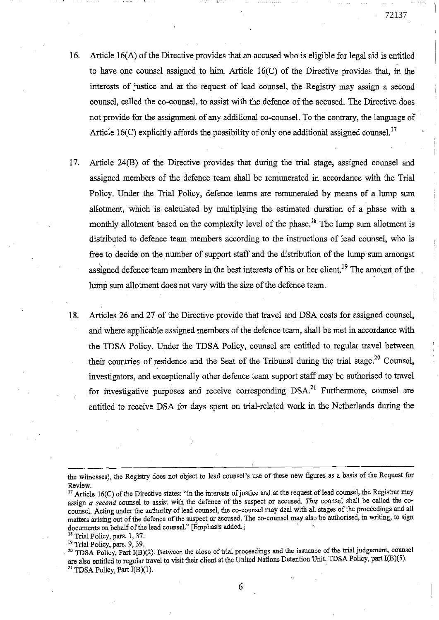- 16. Article 16(A) of the Directive provides that an accused who is eligible for legal aid is entitled to have one counsel assigned to him. Article 16(C) of the Directive provides that, in the interests of justice and at the request of lead counsel, the Registry may assign a second counsel, called the co-counsel, to assist with the defence of the accused. The Directive does not provide for the assignment of any additional co-counsel. To the contrary, the language of Article 16(C) explicitly affords the possibility of only one additional assigned counsel.<sup>17</sup>
- 17. Article 24(B) of the Directive provides that during the trial stage, assigned counsel and assigned members of the defence team shall be remunerated in accordance with the Trial Policy. Under the Trial Policy, defence teams are remunerated by means of a lump sum allotment, which is calculated by multiplying the estimated duration of a phase with a monthly allotment based on the complexity level of the phase.<sup>18</sup> The lump sum allotment is distributed to defence team members according to the instructions of lead counsel, who is free to decide on the number of support staff and the distribution of the lump sum amongst assigned defence team members in the best interests of his or her client.<sup>19</sup> The amount of the lump sum allotrnent does not vary with the size of the defence team.
- 18. Articles 26 and 27 of the Directive provide that travel and DSA costs for assigned counsel, and where applicable assigned members of the defence team, shall be met in accordance with the TDSA Policy. Under the TDSA Policy, counsel are entitled to regular travel between their countries of residence and the Seat of the Tribunal during the trial stage.<sup>20</sup> Counsel, investigators, and exceptionally other defence team support staff may be authorised to travel for investigative purposes and receive corresponding DSA.<sup>21</sup> Furthermore, counsel are entitled to receive DSA for days spent on trial-related work in the Netherlands during the

<sup>18</sup> Trial Policy, pars. 1, 37.

the witnesses), the Registry does not object to lead counsel's use of these new figures as a basis of the Request for Review.

 $17$  Article 16(C) of the Directive states: "In the interests of justice and at the request of lead counsel, the Registrar may assign *a second* counsel to assist with the defence of the suspect or accused. *This* counsel shall be called the cocounsel. Acting under the authority of lead counsel, the co-counsel may deal with all stages of the proceedings and all matters arising out of the defence of the suspect or accused. The co-counsel mayalso bé authorised, in writing, to sign documents on behalf of the lead counsel." [Emphasis added.]

<sup>&</sup>lt;sup>19</sup> Trial Policy, pars. 9, 39.

<sup>. 20</sup> TDSA Policy, Part I(B)(2). Between the close of trial proceedings and the issuance of the triai judgement, counsel are also entitled to regular travel to visit their client at the United Nations Detention Unit. TDSA Policy, part I(B)(5). <sup>21</sup> TDSA Policy, Part I(B)(1).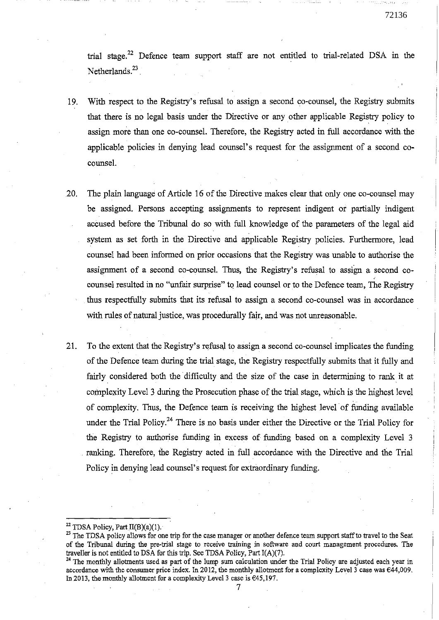trial stage.<sup>22</sup> Defence team support staff are not entitled to trial-related DSA in the Netherlands.<sup>23</sup>

- 19. With respect to the Registry' s refusal to assign a second co-counsel, the Registry subrnits that there is no legal basis under the Directive or any other applicable Registry policy to assign more than one co-counsel. Therefore, the Registry acted in full accordance with the applicable policies in denying lead counsel's request for the assignment of a second cocounsel.
- 20. The plain language of Article 16 of the Directive makes clear that only one co-counsel may be assigned. Persons accepting assignments to represent indigent or partially indigent accused before the Tribunal do so with full knowledge of the parameters of the legal aid system as set forth in the Directive and applicable Registry policies. Furthermore, lead counsel had been informed on prior occasions that the Registry was unable to authorise the assignment of a second co-counsel. Thus, the Registry's refusal to assign a second cocounsel resulted in no "unfair surprise" to lead counsel or to the Defence team, The Registry thus respectfully subrnits that its refusal to assign a second co-counsel was in accordance with rules of natural justice, was procedurally fair, and was not unreasonable.
- 21. To the extent that the Registry's refusal to assign a second co-counsel implicates the funding of the Defence team during the trial. stage, the Registry respectfully submits that it fully and fairly considered both the difficulty and the size of the case in determining to rank it at complexity Level 3 during the Prosecution phase of the trial stage, which is the highest level of complexity. Thus, the Defence team is receiving the highest level of funding available under the Trial Policy.<sup>24</sup> There is no basis under either the Directive or the Trial Policy for the Registry to authorise funding in excess of funding based on a complexity Level 3 . ranking. Therefore, the Registry acted in full accordance with the Directive and the Trial Policy in denying lead counsel's request for extraordinary funding.

<sup>&</sup>lt;sup>22</sup> TDSA Policy, Part  $II(B)(a)(1)$ .

<sup>&</sup>lt;sup>23</sup> The TDSA policy allows for one trip for the case manager or another defence team support staff to travel to the Seat of the Tribunal during the pre-trial stage to receive training in software and court management procedures. The traveller is not entitled to DSA for this trip. See TDSA Policy, Part I(A)(7).

 $24$  The monthly allotments used as part of the lump sum calculation under the Trial Policy are adjusted each year in accordance with the consumer price index. In 2012, the monthly allotment for a complexity Level  $\tilde{3}$  case was  $\epsilon$ 44,009. In 2013, the monthly allotment for a complexity Level 3 case is  $645,197$ .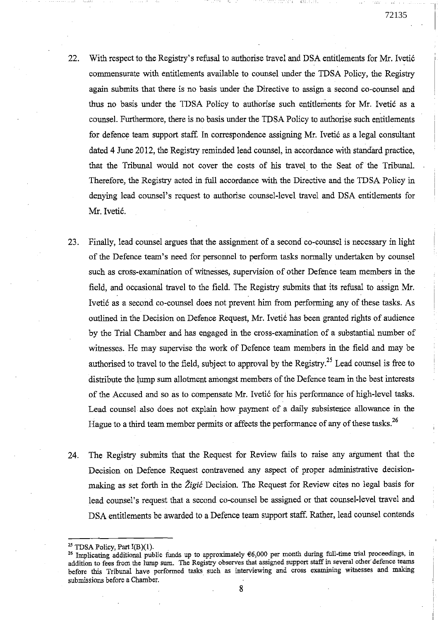- 22. With respect to the Registry's refusaI to authorise travel and DSA entitlements for Mr. Ivetié commensurate with entitlements available to counsel under the TDSA Policy, the Registry again submits that there is no basis under the Directive to assign a second eo-counsel and thus no basis under the TDSA Policy *ta* authorise such entitlements for Mr. Ivetié as a counsel. Furthermore, there is no basis under the TDSA Policy to authorise such entitlements for defence team support staff. In correspondence assigning Mr. Ivetić as a legal consultant dated 4 June 2012, the Registry reminded lead counsel, in accordance with standard practice, that the Tribunal WOuld not coyer the costs of his travel to the Seat of the Tribunal. Therefore, the Registry acted in full accordance with the Directive and the TDSA Poliey in denying lead counsel's request to authorise counsel-Ievel travel and DSA entitlements for Mr. Ivetić.
- 23. Finally, lead counsel argues that the assignment of a second co-counsel is necessary in light of the Defence team's need for personoel to perform tasks normaIly undertaken by counsel such as cross-examination of witnesses, supervision of other Defence team members in the field, and occasionaI travel to the field. The Registry submits that its refusaI to assign Mr. Ivetié as a second co-counsel does not prevent hirn from performing any of these tasks. As outlined in the Decision on Defence Request, Mr. Ivetić has been granted rights of audience by the TriaI Chamber and has engaged in the cross-examination of a substantial number of witnesses. He may supervise the work of Defence team members in the field and may be authorised to travel to the field, subject to approval by the Registry.<sup>25</sup> Lead counsel is free to distribute the lump sum allotment amongst members of the Defence team in the best interests of the Accused and so as to compensate Mr. Ivetié for his performance of high-Ievel tasks. Lead counsel also does not explain how payment of a daily subsistence allowance in the Hague to a third team member permits or affects the performance of any of these tasks.<sup>26</sup>
- 24. The Registry submits that the Request for Review fails to raise any argument that the Decision on Defence Request contravened any aspect of proper administrative decisionmaking as set forth in the *Zigié* Decision. The Request for Review cites no legaI basis for lead counsel's request that a second co-counsel be assigned or that counsel-Ievel travel and DSA entitlements be awarded to a Defence team support staff. Rather, lead counsel contends

<sup>&</sup>lt;sup>25</sup> TDSA Policy, Part I(B)(1).<br><sup>26</sup> Implicating additional public funds up to approximately €6,000 per month during full-time trial proceedings, in addition to fees from the lump sum. The Registry observes that assigned support staff in several other defence teams before this Tribunal have performed tasks such as interviewing and cross examining witnesses and making submissions before a Chamber.